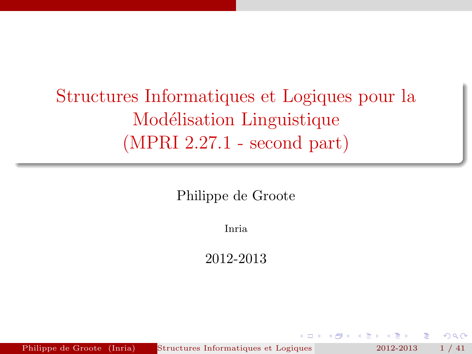Structures Informatiques et Logiques pour la Modélisation Linguistique (MPRI 2.27.1 - second part)

Philippe de Groote

Inria

2012-2013

<span id="page-0-0"></span> $\Omega$ 

Philippe de Groote (Inria) Structures Informatiques et Logiques 2012-2013 1 / 41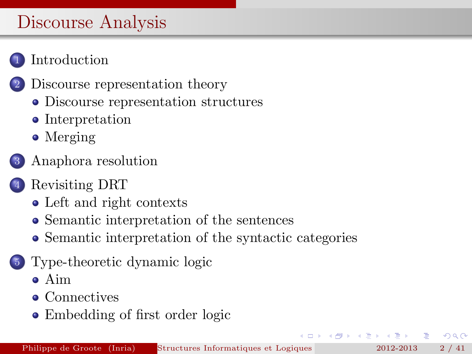# Discourse Analysis

## **[Introduction](#page-2-0)**

- 2 [Discourse representation theory](#page-4-0)
	- [Discourse representation structures](#page-4-0)
	- [Interpretation](#page-7-0)
	- [Merging](#page-9-0)
- 3 [Anaphora resolution](#page-11-0)
- [Revisiting DRT](#page-15-0)
	- [Left and right contexts](#page-15-0)
	- [Semantic interpretation of the sentences](#page-18-0)
	- [Semantic interpretation of the syntactic categories](#page-24-0)
- 5 [Type-theoretic dynamic logic](#page-27-0)
	- [Aim](#page-27-0)
	- [Connectives](#page-30-0)
	- [Embedding of first order logic](#page-36-0)

 $\Omega$ 

 $\left\{ \begin{array}{ccc} 1 & 1 & 1 \\ 1 & 1 & 1 \end{array} \right.$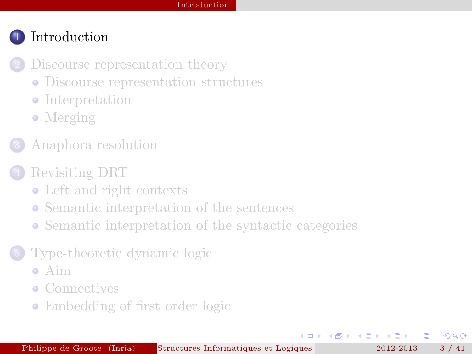- [Discourse representation theory](#page-4-0)
	- [Discourse representation structures](#page-4-0)
	- [Interpretation](#page-7-0)
	- [Merging](#page-9-0)
- 3 [Anaphora resolution](#page-11-0)
- [Revisiting DRT](#page-15-0)
	- [Left and right contexts](#page-15-0)
	- [Semantic interpretation of the sentences](#page-18-0)
	- [Semantic interpretation of the syntactic categories](#page-24-0)
- [Type-theoretic dynamic logic](#page-27-0)
	- [Aim](#page-27-0)
	- [Connectives](#page-30-0)
	- [Embedding of first order logic](#page-36-0)

<span id="page-2-0"></span> $\Omega$ 

 $A \equiv 0$  and  $B$ 

 $\leftarrow$   $\Box$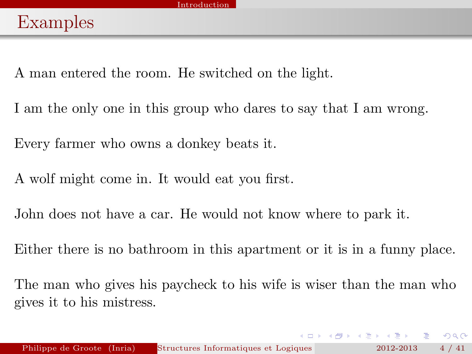A man entered the room. He switched on the light.

I am the only one in this group who dares to say that I am wrong.

Every farmer who owns a donkey beats it.

A wolf might come in. It would eat you first.

John does not have a car. He would not know where to park it.

Either there is no bathroom in this apartment or it is in a funny place.

The man who gives his paycheck to his wife is wiser than the man who gives it to his mistress.

<span id="page-3-0"></span> $\Omega$ 

イロメ イ押メ イヨメ イヨメ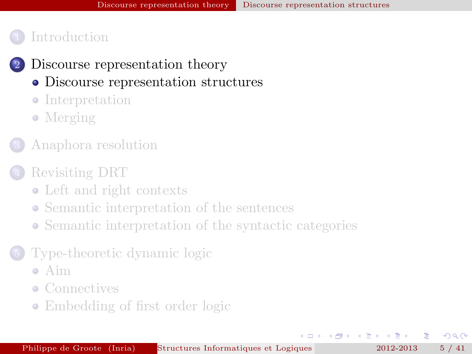- 2 [Discourse representation theory](#page-4-0)
	- [Discourse representation structures](#page-4-0)
	- [Interpretation](#page-7-0)
	- [Merging](#page-9-0)
- 3 [Anaphora resolution](#page-11-0)

#### [Revisiting DRT](#page-15-0)

- [Left and right contexts](#page-15-0)
- [Semantic interpretation of the sentences](#page-18-0)
- [Semantic interpretation of the syntactic categories](#page-24-0)
- [Type-theoretic dynamic logic](#page-27-0)
	- [Aim](#page-27-0)
	- [Connectives](#page-30-0)
	- [Embedding of first order logic](#page-36-0)

<span id="page-4-0"></span> $\Omega$ 

 $4.25 \times 1.25$ 

 $\leftarrow$   $\Box$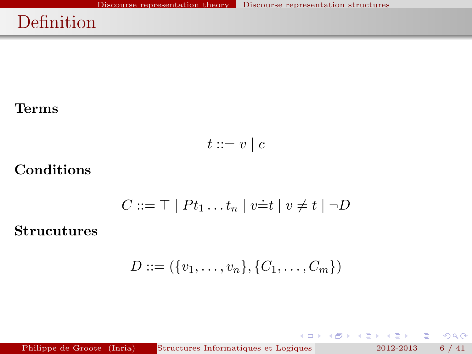# Definition

#### Terms

$$
t ::= v \mid c
$$

#### Conditions

$$
C ::= \top | Pt_1 \dots t_n | v \dot{=} t | v \neq t | \neg D
$$

#### Strucutures

$$
D ::= (\{v_1, \ldots, v_n\}, \{C_1, \ldots, C_m\})
$$

Philippe de Groote (Inria) Structures Informatiques et Logiques pour la Modielisation 2012-2013 6 / 41

 $\Rightarrow$ 

 $299$ 

メロメ メ御き メミメ メミメ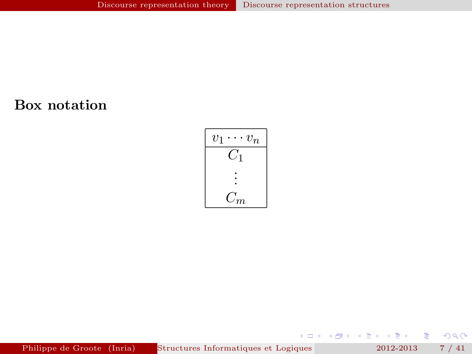#### Box notation



Philippe de Groote (Inria) Structures Informatiques et Logiques pour la Modielisation 2012-2013 7 / 41

メロメ メ御 メメ ミメ メモメ

高

 $299$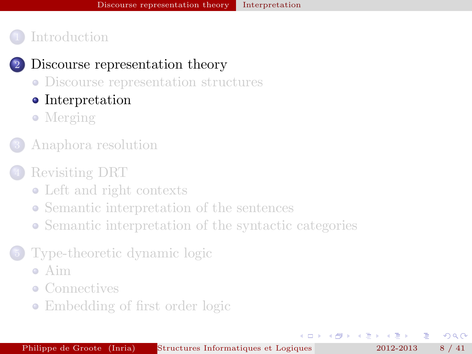#### 2 [Discourse representation theory](#page-4-0)

- [Discourse representation structures](#page-4-0)
- [Interpretation](#page-7-0)
- [Merging](#page-9-0)
- 3 [Anaphora resolution](#page-11-0)

#### [Revisiting DRT](#page-15-0)

- [Left and right contexts](#page-15-0)
- [Semantic interpretation of the sentences](#page-18-0)
- [Semantic interpretation of the syntactic categories](#page-24-0)
- [Type-theoretic dynamic logic](#page-27-0)
	- [Aim](#page-27-0)
	- [Connectives](#page-30-0)
	- [Embedding of first order logic](#page-36-0)

<span id="page-7-0"></span> $\Omega$ 

 $4.25 \times 1.25$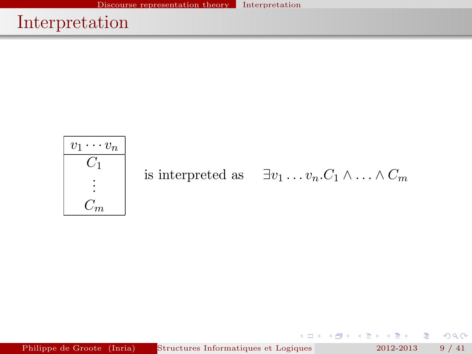# Interpretation



<span id="page-8-0"></span> $2Q$ 

 $\leftarrow \equiv$ 

→ 重

D.

(ロ) ( ) →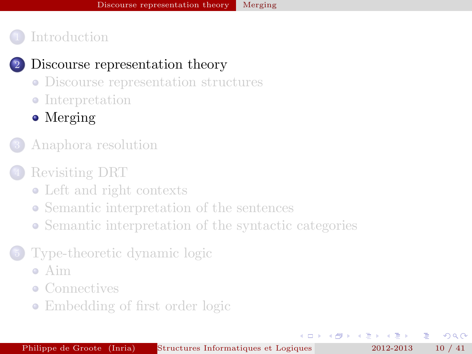#### 2 [Discourse representation theory](#page-4-0)

- [Discourse representation structures](#page-4-0)
- [Interpretation](#page-7-0)
- [Merging](#page-9-0)
- 3 [Anaphora resolution](#page-11-0)

## [Revisiting DRT](#page-15-0)

- [Left and right contexts](#page-15-0)
- [Semantic interpretation of the sentences](#page-18-0)
- [Semantic interpretation of the syntactic categories](#page-24-0)

## [Type-theoretic dynamic logic](#page-27-0)

- [Aim](#page-27-0)
- [Connectives](#page-30-0)
- [Embedding of first order logic](#page-36-0)

 $\leftarrow$   $\Box$ 

4 戸下

<span id="page-9-0"></span> $\Omega$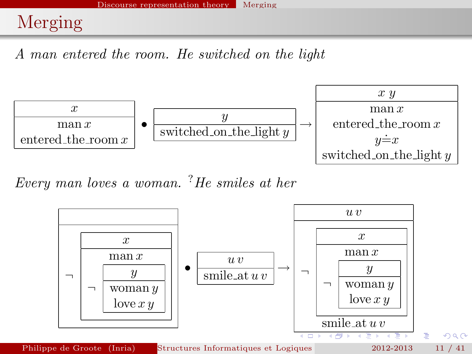# Merging

A man entered the room. He switched on the light



Every man loves a woman. ?He smiles at her

<span id="page-10-0"></span>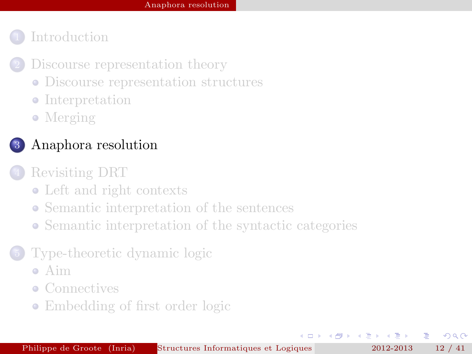- [Discourse representation theory](#page-4-0)
	- [Discourse representation structures](#page-4-0)
	- [Interpretation](#page-7-0)
	- [Merging](#page-9-0)

## 3 [Anaphora resolution](#page-11-0)

#### [Revisiting DRT](#page-15-0)

- [Left and right contexts](#page-15-0)
- [Semantic interpretation of the sentences](#page-18-0)
- [Semantic interpretation of the syntactic categories](#page-24-0)

## [Type-theoretic dynamic logic](#page-27-0)

- [Aim](#page-27-0)
- [Connectives](#page-30-0)
- [Embedding of first order logic](#page-36-0)

 $\leftarrow$   $\Box$ 

<span id="page-11-0"></span> $\Omega$ 

 $\leftarrow$   $\equiv$   $\rightarrow$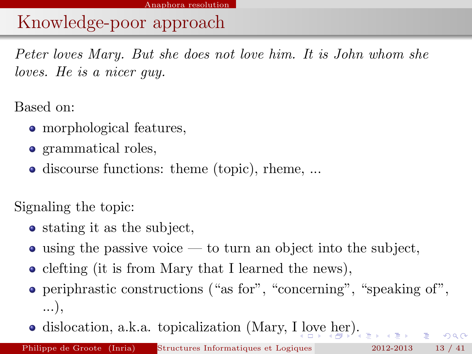# Knowledge-poor approach

Peter loves Mary. But she does not love him. It is John whom she loves. He is a nicer guy.

Based on:

- morphological features,
- grammatical roles,
- discourse functions: theme (topic), rheme, ...

Signaling the topic:

- stating it as the subject,
- $\bullet$  using the passive voice to turn an object into the subject,
- clefting (it is from Mary that I learned the news),
- periphrastic constructions ("as for", "concerning", "speaking of", ...),
- dislocation, a.k.a. topicalization (Mary, [I lo](#page-11-0)[ve](#page-13-0)[he](#page-12-0)[r\)](#page-13-0)[.](#page-10-0)

<span id="page-12-0"></span> $QQQ$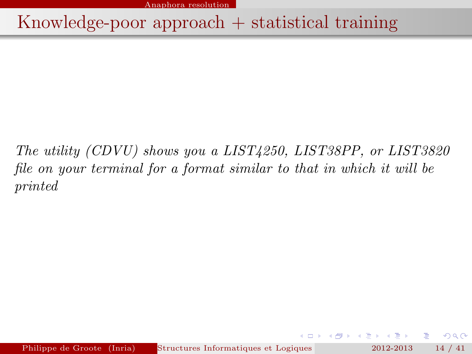Anaphora resolution

Knowledge-poor approach + statistical training

The utility (CDVU) shows you a LIST4250, LIST38PP, or LIST3820 file on your terminal for a format similar to that in which it will be printed

<span id="page-13-0"></span> $QQ$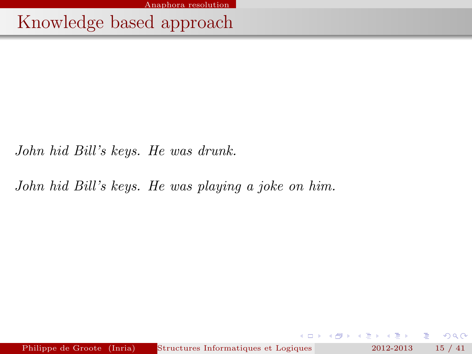Anaphora resolution

Knowledge based approach

John hid Bill's keys. He was drunk.

John hid Bill's keys. He was playing a joke on him.

Philippe de Groote (Inria) Structures Informatiques et Logiques pour la Modielisation Linguisticus et Logiques pour la Modielisation Linguisticus (MPRI 2012-2013 15 / 41.1 - second particular et Logiques et Logiques 2012-2

重

 $2Q$ 

 $\rightarrow$   $\equiv$   $\rightarrow$   $\rightarrow$   $\equiv$   $\rightarrow$ 

4. 0. 8. - 6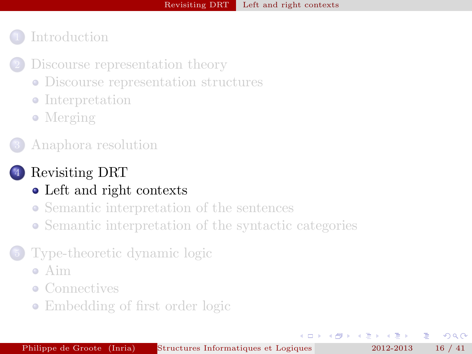- [Discourse representation theory](#page-4-0)
	- [Discourse representation structures](#page-4-0)
	- [Interpretation](#page-7-0)
	- [Merging](#page-9-0)
- 3 [Anaphora resolution](#page-11-0)

## [Revisiting DRT](#page-15-0)

- [Left and right contexts](#page-15-0)
- [Semantic interpretation of the sentences](#page-18-0)
- [Semantic interpretation of the syntactic categories](#page-24-0)

## [Type-theoretic dynamic logic](#page-27-0)

- [Aim](#page-27-0)
- [Connectives](#page-30-0)
- [Embedding of first order logic](#page-36-0)

 $\overline{a}$ 

4 三 下

<span id="page-15-0"></span> $\Omega$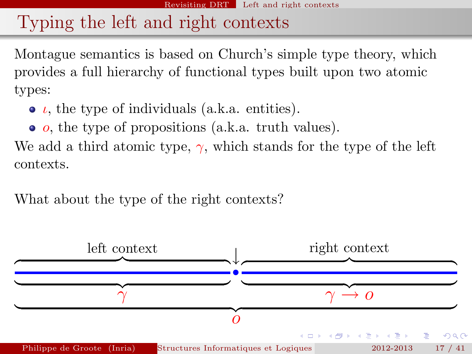# Typing the left and right contexts

Montague semantics is based on Church's simple type theory, which provides a full hierarchy of functional types built upon two atomic types:

- $\bullet$   $\iota$ , the type of individuals (a.k.a. entities).
- $\bullet$  *o*, the type of propositions (a.k.a. truth values).

We add a third atomic type,  $\gamma$ , which stands for the type of the left contexts.

What about the type of the right contexts?

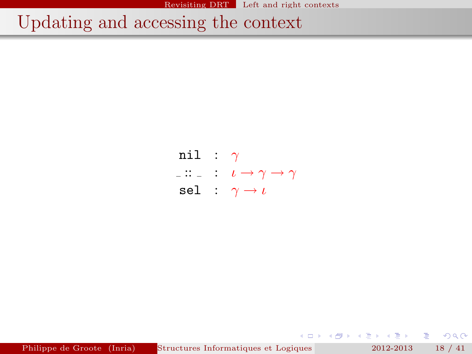Revisiting DRT Left and right contexts

# Updating and accessing the context

nil :  $\gamma$  $\vdots$  :  $\iota \to \gamma \to \gamma$ sel :  $\gamma \rightarrow \iota$ 

Philippe de Groote (Inria) Structures Informatiques et Logiques pour la Modielisation Linguisticus et Logique (MPRI 2012-2013 18 / 41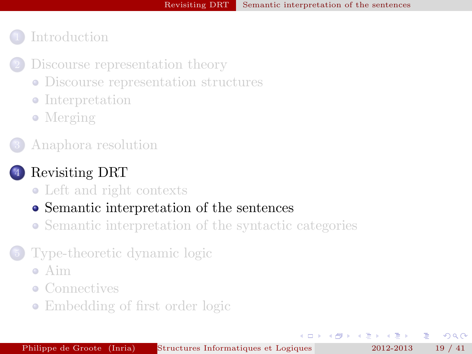- [Discourse representation theory](#page-4-0)
	- [Discourse representation structures](#page-4-0)
	- [Interpretation](#page-7-0)
	- [Merging](#page-9-0)
- 3 [Anaphora resolution](#page-11-0)

## [Revisiting DRT](#page-15-0)

• [Left and right contexts](#page-15-0)

#### [Semantic interpretation of the sentences](#page-18-0)

[Semantic interpretation of the syntactic categories](#page-24-0)

#### [Type-theoretic dynamic logic](#page-27-0)

- [Aim](#page-27-0)
- [Connectives](#page-30-0)
- [Embedding of first order logic](#page-36-0)

 $\leftarrow$   $\Box$ 

4 三 トー

<span id="page-18-0"></span> $\Omega$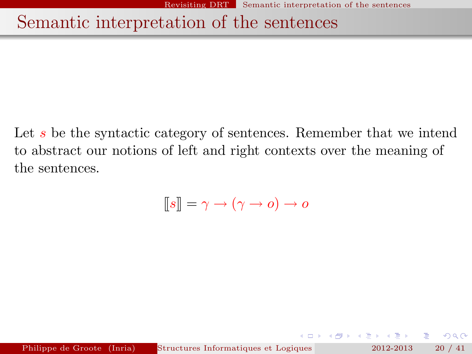# Semantic interpretation of the sentences

Let s be the syntactic category of sentences. Remember that we intend to abstract our notions of left and right contexts over the meaning of the sentences.

$$
[\![s]\!] = \gamma \to (\gamma \to o) \to o
$$

 $QQ$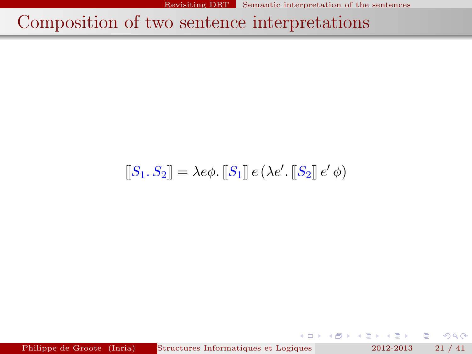# Composition of two sentence interpretations

# $[[S_1, S_2]] = \lambda e\phi$ .  $[[S_1]] e (\lambda e'. [[S_2]] e' \phi)$

Philippe de Groote (Inria) Structures Informatiques et Logiques 2012-2013 21 / 41

Þ

 $2Q$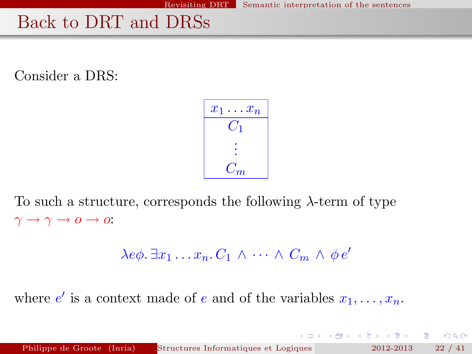# Back to DRT and DRSs

Consider a DRS:

$$
\begin{array}{|c|} \hline x_1 \dots x_n \\ \hline C_1 \\ \vdots \\ C_m \end{array}
$$

To such a structure, corresponds the following  $\lambda$ -term of type  $\gamma \to \gamma \to 0 \to 0$ :

$$
\lambda e\phi \cdot \exists x_1 \ldots x_n \cdot C_1 \wedge \cdots \wedge C_m \wedge \phi e'
$$

where  $e'$  is a context made of e and of the variables  $x_1, \ldots, x_n$ .

重

 $2Q$ 

**K ロ ト K 倒 ト K ヨ ト K ヨ ト**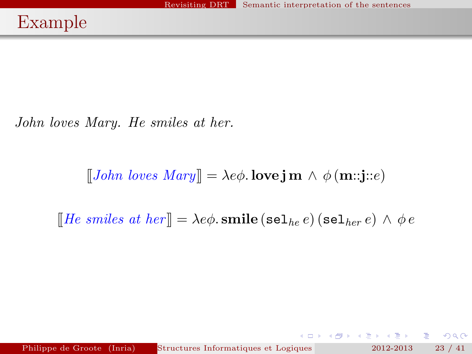John loves Mary. He smiles at her.

 $[[John \; loves \; Mary]] = \lambda e\phi$ . love j m  $\wedge \phi$  (m::j::e)

[He smiles at her]] =  $\lambda e\phi$ . smile (sel<sub>he</sub> e) (sel<sub>her</sub> e)  $\wedge \phi e$ 

Philippe de Groote (Inria) Structures Informatiques et Logiques 2012-2013 23 / 41

K ロ > K 레 > K 코 > K 코 > H 코 H YO Q @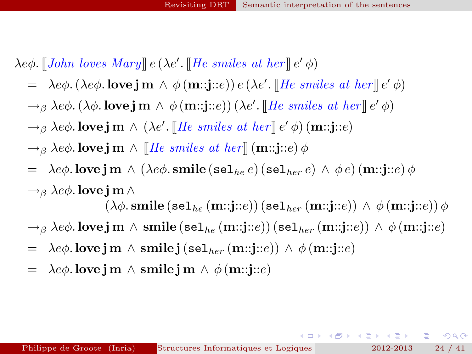$\lambda e\phi$ . [[John loves Mary]]  $e(\lambda e'.$  [He smiles at her]]  $e'\phi$ )

- $= \ \lambda e \phi. (\lambda e \phi.$  love  $\mathbf{j} \mathbf{m} \wedge \phi(\mathbf{m}::\mathbf{j}::e)) e (\lambda e'.$  [He smiles at her]]  $e' \phi)$
- $\rightarrow_{\beta} \lambda e\phi$ . ( $\lambda\phi$ . love j m  $\wedge \phi$  (m::j::e)) ( $\lambda e'$ . [[He smiles at her]]  $e' \phi$ )
- $\rightarrow_{\beta} \lambda e \phi$ . love j m  $\wedge (\lambda e'. \llbracket He \; \textit{smiles at her} \rrbracket \, e' \, \phi) \, (\mathbf{m}::\mathbf{j}::\mathbf{e})$
- $\rightarrow$ <sub>β</sub> λe $\phi$ . love j m  $\land$  [He smiles at her] (m::j::e)  $\phi$
- $= \text{ } \lambda e \phi.$  love j m  $\wedge$   $(\lambda e \phi.$  smile (sel<sub>he</sub> e) (sel<sub>her</sub> e)  $\wedge \phi e$ ) (m::j::e)  $\phi$  $\rightarrow$ <sub>β</sub> λe $\phi$ . love j m  $\wedge$

 $(\lambda \phi \text{.smile}(\text{sel}_{he}(\text{m::j::}e)) (\text{sel}_{her}(\text{m::j::}e)) \wedge \phi(\text{m::j::}e)) \phi$ 

- $\rightarrow$ <sub>β</sub> λeφ. love j m  $\land$  smile (sel<sub>he</sub> (m::j::e)) (sel<sub>her</sub> (m::j::e))  $\land$  φ (m::j::e)
- $= \lambda e \phi$ . love j m  $\wedge$  smile j (sel<sub>her</sub> (m::j::e))  $\wedge \phi$  (m::j::e)
- $= \lambda e \phi$ . love j m  $\wedge$  smile j m  $\wedge \phi$  (m::j::e)

KOD KOD KED KED E JOAN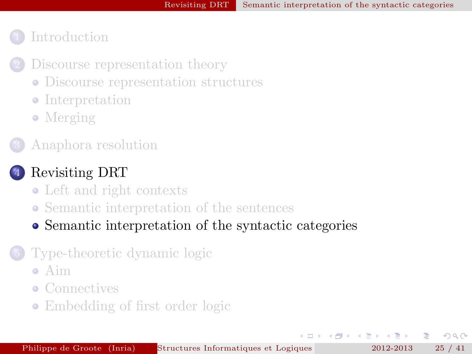$\overline{a}$ 

## **[Introduction](#page-2-0)**

- [Discourse representation theory](#page-4-0)
	- [Discourse representation structures](#page-4-0)
	- [Interpretation](#page-7-0)
	- [Merging](#page-9-0)
- 3 [Anaphora resolution](#page-11-0)

#### [Revisiting DRT](#page-15-0)

- [Left and right contexts](#page-15-0)
- [Semantic interpretation of the sentences](#page-18-0)
- [Semantic interpretation of the syntactic categories](#page-24-0)

#### [Type-theoretic dynamic logic](#page-27-0)

- [Aim](#page-27-0)
- [Connectives](#page-30-0)
- [Embedding of first order logic](#page-36-0)

4 三 トー

<span id="page-24-0"></span> $\Omega$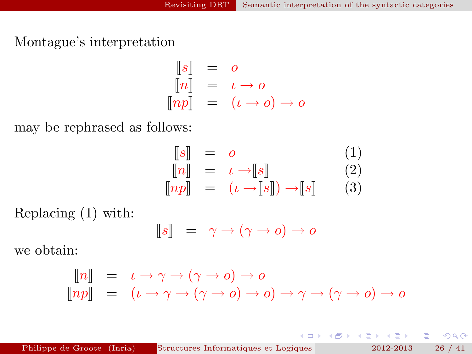Montague's interpretation

$$
\begin{array}{rcl}\n\llbracket s \rrbracket & = & o \\
\llbracket n \rrbracket & = & \iota \to o \\
\llbracket np \rrbracket & = & (\iota \to o) \to o\n\end{array}
$$

may be rephrased as follows:

$$
\begin{array}{rcl}\n[s] & = & o & (1) \\
[n] & = & \iota \rightarrow [s] & (2) \\
[np] & = & (\iota \rightarrow [s]) \rightarrow [s] & (3)\n\end{array}
$$

Replacing (1) with:

$$
\llbracket s \rrbracket = \gamma \to (\gamma \to o) \to o
$$

we obtain:

$$
\begin{bmatrix} n \end{bmatrix} = \iota \to \gamma \to (\gamma \to o) \to o
$$
  
\n
$$
\begin{bmatrix} np \end{bmatrix} = (\iota \to \gamma \to (\gamma \to o) \to o) \to o) \to \gamma \to (\gamma \to o) \to o
$$

 $2Q$ 

重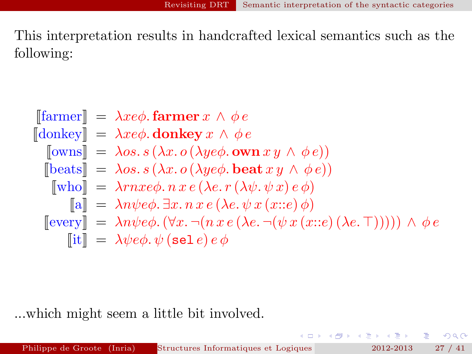This interpretation results in handcrafted lexical semantics such as the following:

$$
\begin{aligned}\n\text{[farmer]} &= \lambda x e \phi. \text{farmer } x \wedge \phi e \\
\text{[donkey]} &= \lambda x e \phi. \text{ donkey } x \wedge \phi e \\
\text{[owns]} &= \lambda os. s \left(\lambda x. o \left(\lambda y e \phi. \text{ own } x y \wedge \phi e\right)\right) \\
\text{[beats]} &= \lambda os. s \left(\lambda x. o \left(\lambda y e \phi. \text{beat } x y \wedge \phi e\right)\right) \\
\text{[who]} &= \lambda r n x e \phi. n x e \left(\lambda e. r \left(\lambda \psi. \psi x\right) e \phi\right) \\
\text{[al]} &= \lambda n \psi e \phi. \exists x. n x e \left(\lambda e. \psi x \left(x::e\right) \phi\right) \\
\text{[every]} &= \lambda n \psi e \phi. \left(\forall x. \neg (n x e \left(\lambda e. \neg (\psi x \left(x::e\right) \left(\lambda e. \top\right))))\right) \wedge \phi e \\
\text{[it]} &= \lambda \psi e \phi. \psi \left(\text{sel } e\right) e \phi\n\end{aligned}
$$

...which might seem a little bit involved.

G.

 $299$ 

イロト イ押 トイヨト イヨト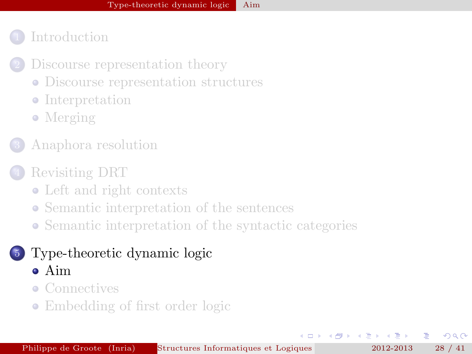- [Discourse representation theory](#page-4-0)
	- [Discourse representation structures](#page-4-0)
	- [Interpretation](#page-7-0)
	- [Merging](#page-9-0)
- 3 [Anaphora resolution](#page-11-0)
- [Revisiting DRT](#page-15-0)
	- [Left and right contexts](#page-15-0)
	- [Semantic interpretation of the sentences](#page-18-0)
	- [Semantic interpretation of the syntactic categories](#page-24-0)

# 5 [Type-theoretic dynamic logic](#page-27-0)

- [Aim](#page-27-0)
- [Connectives](#page-30-0)
- [Embedding of first order logic](#page-36-0)

4 三 下

<span id="page-27-0"></span> $\Omega$ 

 $\overline{a}$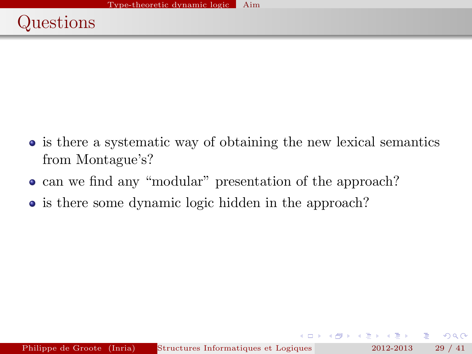- is there a systematic way of obtaining the new lexical semantics from Montague's?
- can we find any "modular" presentation of the approach?
- is there some dynamic logic hidden in the approach?

 $QQQ$ 

 $\rightarrow$   $\equiv$   $\rightarrow$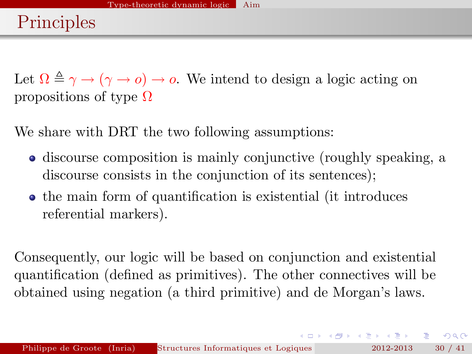Let  $\Omega \triangleq \gamma \rightarrow (\gamma \rightarrow o) \rightarrow o$ . We intend to design a logic acting on propositions of type  $\Omega$ 

We share with DRT the two following assumptions:

- discourse composition is mainly conjunctive (roughly speaking, a discourse consists in the conjunction of its sentences);
- the main form of quantification is existential (it introduces referential markers).

Consequently, our logic will be based on conjunction and existential quantification (defined as primitives). The other connectives will be obtained using negation (a third primitive) and de Morgan's laws.

KID KARA KEN KEN EL YOKO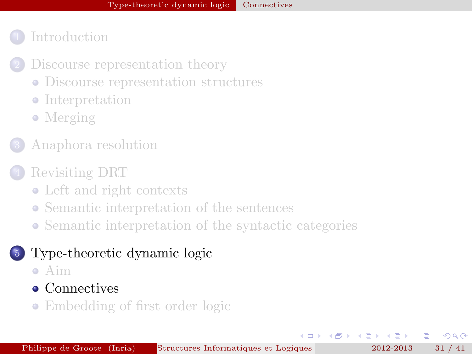- **[Introduction](#page-2-0)** 
	- [Discourse representation theory](#page-4-0)
		- [Discourse representation structures](#page-4-0)
		- [Interpretation](#page-7-0)
		- [Merging](#page-9-0)
	- 3 [Anaphora resolution](#page-11-0)
- [Revisiting DRT](#page-15-0)
	- [Left and right contexts](#page-15-0)
	- [Semantic interpretation of the sentences](#page-18-0)
	- [Semantic interpretation of the syntactic categories](#page-24-0)

## 5 [Type-theoretic dynamic logic](#page-27-0)

[Aim](#page-27-0)

#### • [Connectives](#page-30-0)

• [Embedding of first order logic](#page-36-0)

<span id="page-30-0"></span> $\Omega$ 

 $\leftarrow$   $\equiv$   $\rightarrow$ 

 $\leftarrow$   $\Box$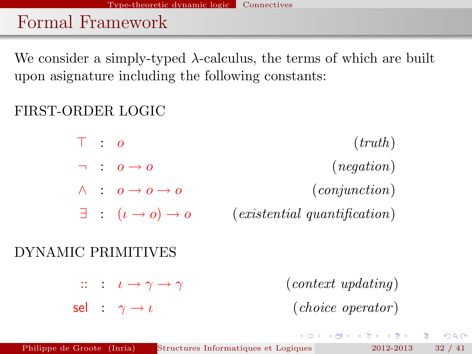# Formal Framework

We consider a simply-typed  $\lambda$ -calculus, the terms of which are built upon asignature including the following constants:

## FIRST-ORDER LOGIC

 $\top$  : *o* (*truth*)  $\lnot$  :  $o \rightarrow o$  (negation)  $\wedge$  :  $o \rightarrow o \rightarrow o$  (conjunction)  $\exists$  :  $(\iota \rightarrow o) \rightarrow o$  (existential quantification)

#### DYNAMIC PRIMITIVES

 $\therefore$   $\iota \rightarrow \gamma \rightarrow \gamma$  (context updating) sel :  $\gamma \rightarrow \iota$  (choice operator)

KID KARA KEN KEN EL YOKO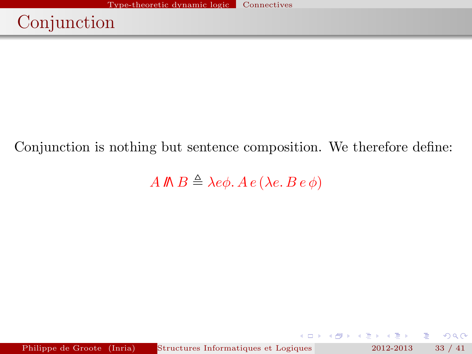# Conjunction

#### Conjunction is nothing but sentence composition. We therefore define:

A  $\mathbb{R} \triangleq \lambda e \phi$ .  $A e (\lambda e. B e \phi)$ 

Philippe de Groote (Inria) Structures Informatiques et Logiques 2012-2013 33 / 41

 $299$ 

 $\mathcal{A} \oplus \mathcal{B} \rightarrow \mathcal{A} \oplus \mathcal{B}$ 

 $(0 \times 10^{-1}$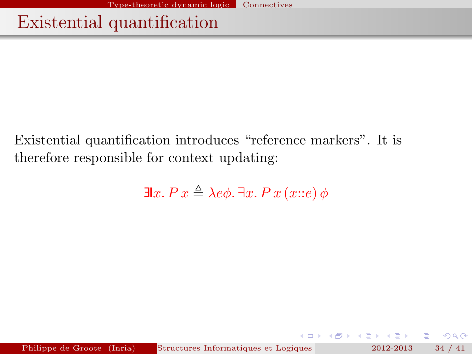# Existential quantification

Existential quantification introduces "reference markers". It is therefore responsible for context updating:

$$
\exists x. P \, x \triangleq \lambda e \phi. \, \exists x. P \, x \, (x::e) \, \phi
$$

 $\leftarrow$   $\Box$ - 6  $\mathbf{A} \oplus \mathbf{A}$  and  $\oplus \mathbf{A}$ 

重

 $QQ$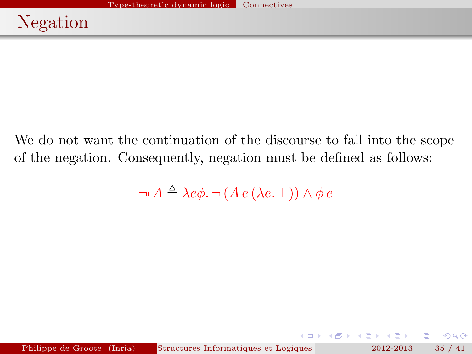We do not want the continuation of the discourse to fall into the scope of the negation. Consequently, negation must be defined as follows:

 $\neg A \triangleq \lambda e \phi$ .  $\neg (A e (\lambda e. \top)) \wedge \phi e$ 

 $QQ$ 

- 4 周 8 14 周 8

→ 母 →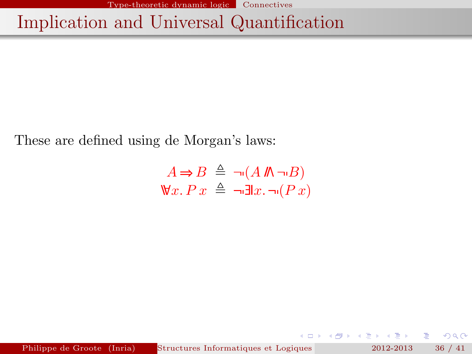Type-theoretic dynamic logic Connectives

# Implication and Universal Quantification

These are defined using de Morgan's laws:

$$
A \Rightarrow B \triangleq \neg (A \n \mathbb{M} \neg B)
$$
  

$$
\mathbb{V}x. Px \triangleq \neg \exists x. \neg (Px)
$$

Philippe de Groote (Inria) Structures Informatiques et Logiques pour la Modielisation 2012-2013 36 / 41

重

 $2Q$ 

**K ロ ト K 倒 ト K ヨ ト K ヨ ト**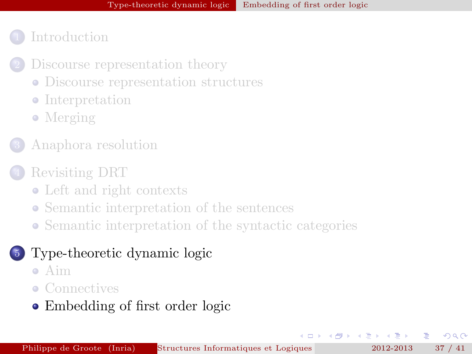- [Discourse representation theory](#page-4-0)
	- [Discourse representation structures](#page-4-0)
	- [Interpretation](#page-7-0)
	- [Merging](#page-9-0)
- 3 [Anaphora resolution](#page-11-0)
- [Revisiting DRT](#page-15-0)
	- [Left and right contexts](#page-15-0)
	- [Semantic interpretation of the sentences](#page-18-0)
	- [Semantic interpretation of the syntactic categories](#page-24-0)

## 5 [Type-theoretic dynamic logic](#page-27-0)

- [Aim](#page-27-0)
- [Connectives](#page-30-0)
- [Embedding of first order logic](#page-36-0)

4 原 トー

<span id="page-36-0"></span> $\Omega$ 

 $\leftarrow$   $\Box$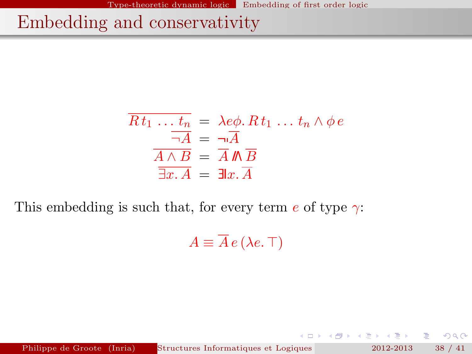Embedding and conservativity

$$
\overline{Rt_1 \dots t_n} = \lambda e\phi. Rt_1 \dots t_n \wedge \phi e
$$

$$
\overline{\neg A} = \overline{\neg A}
$$

$$
\overline{A \wedge B} = \overline{A} \mathbb{M} \overline{B}
$$

$$
\overline{\exists x. A} = \exists x. \overline{A}
$$

This embedding is such that, for every term  $e$  of type  $\gamma$ :

 $A \equiv \overline{A} e (\lambda e. \top)$ 

Philippe de Groote (Inria) Structures Informatiques et Logiques 2012-2013 38 / 41

重

 $2Q$ 

**A BAKABA** 

( □ ) ( / <sup>□</sup> )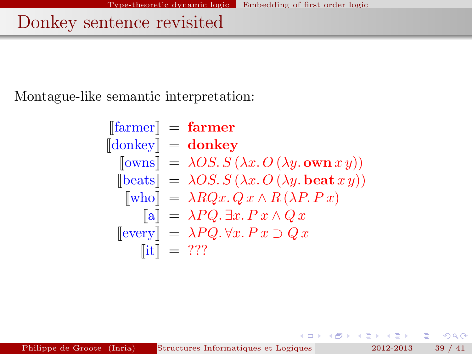# Donkey sentence revisited

Montague-like semantic interpretation:

$$
\begin{aligned}\n[\text{farmer}] &= \textbf{farmer} \\
[\text{donkey}] &= \textbf{donkey} \\
[\text{owns}] &= \lambda OS. S(\lambda x. O(\lambda y. \textbf{own } x y)) \\
[\text{beats}] &= \lambda OS. S(\lambda x. O(\lambda y. \textbf{beat } x y)) \\
[\text{who}] &= \lambda RQx. Q x \land R(\lambda P. Px) \\
[\text{a}] &= \lambda PQ. \exists x. Px \land Qx \\
[\text{every}] &= \lambda PQ. \forall x. Px \supset Qx \\
[\text{it}] &= ???\n\end{aligned}
$$

重

 $299$ 

- 4 重 8 14 重 8

 $(0 \times 10^{-1}$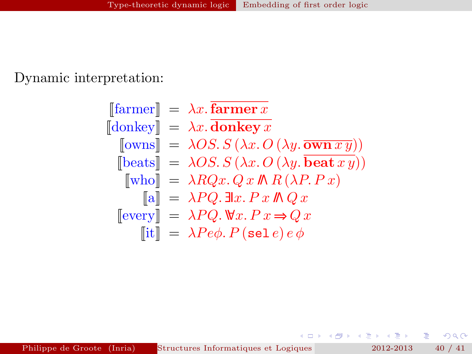#### Dynamic interpretation:

$$
\begin{aligned}\n[\text{farmer}] &= \lambda x. \overline{\text{farmer } x} \\
[\text{donkey}] &= \lambda x. \overline{\text{donkey } x} \\
[\text{rows}] &= \lambda OS. S(\lambda x. O(\lambda y. \overline{\text{own } xy})) \\
[\text{beats}] &= \lambda OS. S(\lambda x. O(\lambda y. \overline{\text{beat } x y})) \\
[\text{who}] &= \lambda RQx. Qx \, \text{I} \, R(\lambda P. Px) \\
[\text{a}] &= \lambda PQ. \exists \text{l} x. Px \, \text{I} \, Qx \\
[\text{every}] &= \lambda PQ. \, \forall x. Px \Rightarrow Qx \\
[\text{ii}] &= \lambda Pe\phi. P(\text{sel } e) e \phi\n\end{aligned}
$$

Philippe de Groote (Inria) Structures Informatiques et Logiques pour la Modielisation 2012-2013 40 / 41

÷.

 $299$ 

 $4$  ロ )  $4$  何 )  $4$  글 )  $4$  글 )